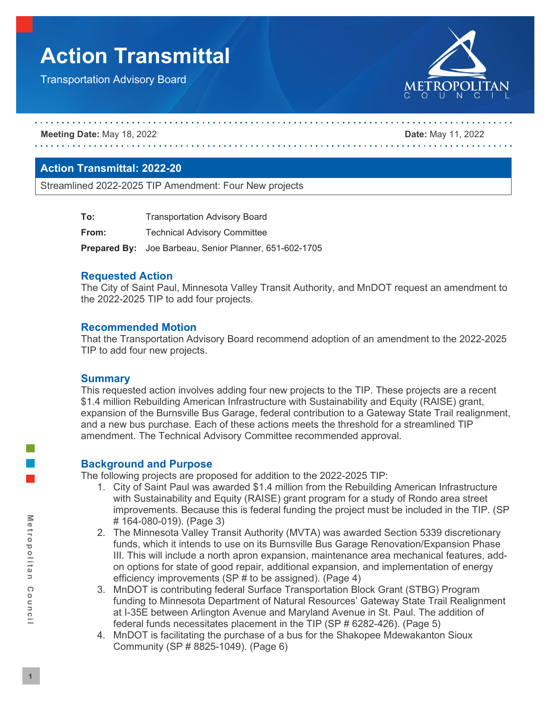# **Action Transmittal**

Transportation Advisory Board



**Meeting Date:** May 18, 2022 **Date:** May 11, 2022

# **Action Transmittal: 2022-20**

Streamlined 2022-2025 TIP Amendment: Four New projects

| To:   | <b>Transportation Advisory Board</b>                          |
|-------|---------------------------------------------------------------|
| From: | <b>Technical Advisory Committee</b>                           |
|       | <b>Prepared By:</b> Joe Barbeau, Senior Planner, 651-602-1705 |

#### **Requested Action**

The City of Saint Paul, Minnesota Valley Transit Authority, and MnDOT request an amendment to the 2022-2025 TIP to add four projects.

#### **Recommended Motion**

That the Transportation Advisory Board recommend adoption of an amendment to the 2022-2025 TIP to add four new projects.

#### **Summary**

This requested action involves adding four new projects to the TIP. These projects are a recent \$1.4 million Rebuilding American Infrastructure with Sustainability and Equity (RAISE) grant, expansion of the Burnsville Bus Garage, federal contribution to a Gateway State Trail realignment, and a new bus purchase. Each of these actions meets the threshold for a streamlined TIP amendment. The Technical Advisory Committee recommended approval.

## **Background and Purpose**

The following projects are proposed for addition to the 2022-2025 TIP:

- 1. City of Saint Paul was awarded \$1.4 million from the Rebuilding American Infrastructure with Sustainability and Equity (RAISE) grant program for a study of Rondo area street improvements. Because this is federal funding the project must be included in the TIP. (SP # 164-080-019). (Page 3)
- 2. The Minnesota Valley Transit Authority (MVTA) was awarded Section 5339 discretionary funds, which it intends to use on its Burnsville Bus Garage Renovation/Expansion Phase III. This will include a north apron expansion, maintenance area mechanical features, addon options for state of good repair, additional expansion, and implementation of energy efficiency improvements (SP # to be assigned). (Page 4)
- 3. MnDOT is contributing federal Surface Transportation Block Grant (STBG) Program funding to Minnesota Department of Natural Resources' Gateway State Trail Realignment at I-35E between Arlington Avenue and Maryland Avenue in St. Paul. The addition of federal funds necessitates placement in the TIP (SP # 6282-426). (Page 5)
- 4. MnDOT is facilitating the purchase of a bus for the Shakopee Mdewakanton Sioux Community (SP # 8825-1049). (Page 6)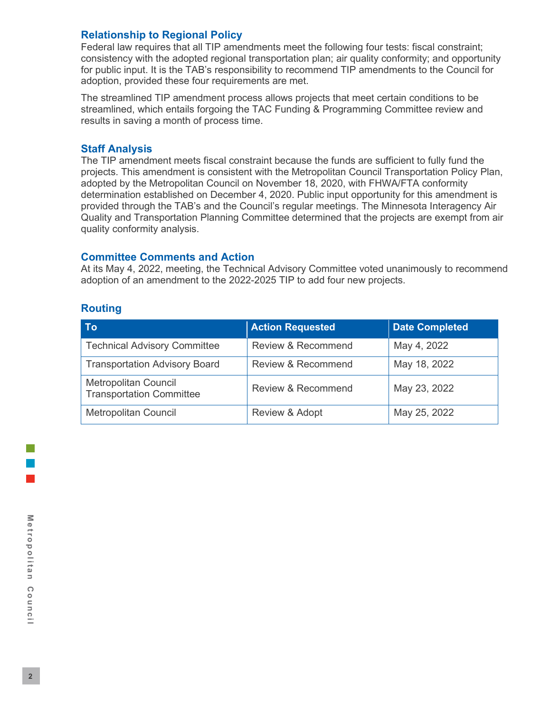# **Relationship to Regional Policy**

Federal law requires that all TIP amendments meet the following four tests: fiscal constraint; consistency with the adopted regional transportation plan; air quality conformity; and opportunity for public input. It is the TAB's responsibility to recommend TIP amendments to the Council for adoption, provided these four requirements are met.

The streamlined TIP amendment process allows projects that meet certain conditions to be streamlined, which entails forgoing the TAC Funding & Programming Committee review and results in saving a month of process time.

# **Staff Analysis**

The TIP amendment meets fiscal constraint because the funds are sufficient to fully fund the projects. This amendment is consistent with the Metropolitan Council Transportation Policy Plan, adopted by the Metropolitan Council on November 18, 2020, with FHWA/FTA conformity determination established on December 4, 2020. Public input opportunity for this amendment is provided through the TAB's and the Council's regular meetings. The Minnesota Interagency Air Quality and Transportation Planning Committee determined that the projects are exempt from air quality conformity analysis.

# **Committee Comments and Action**

At its May 4, 2022, meeting, the Technical Advisory Committee voted unanimously to recommend adoption of an amendment to the 2022-2025 TIP to add four new projects.

# **Routing**

| <b>To</b>                                                      | <b>Action Requested</b>       | <b>Date Completed</b> |
|----------------------------------------------------------------|-------------------------------|-----------------------|
| <b>Technical Advisory Committee</b>                            | <b>Review &amp; Recommend</b> | May 4, 2022           |
| <b>Transportation Advisory Board</b>                           | <b>Review &amp; Recommend</b> | May 18, 2022          |
| <b>Metropolitan Council</b><br><b>Transportation Committee</b> | Review & Recommend            | May 23, 2022          |
| <b>Metropolitan Council</b>                                    | Review & Adopt                | May 25, 2022          |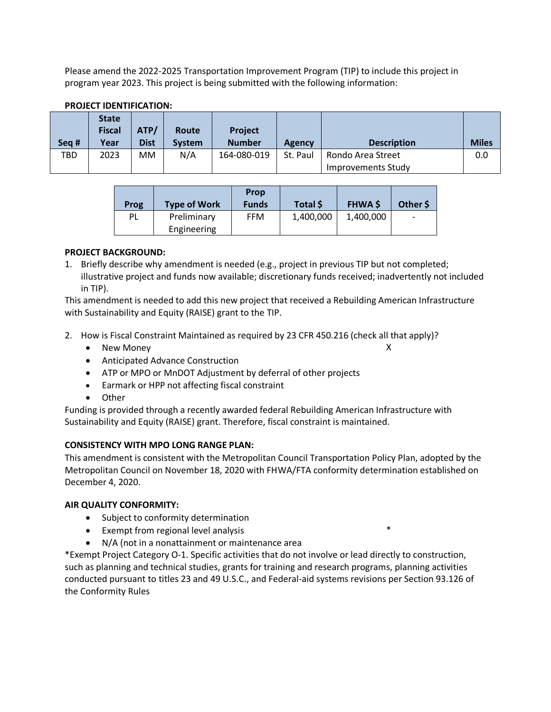Please amend the 2022-2025 Transportation Improvement Program (TIP) to include this project in program year 2023. This project is being submitted with the following information:

| Seg # | <b>State</b><br><b>Fiscal</b><br>Year | ATP/<br><b>Dist</b> | Route<br><b>System</b> | <b>Project</b><br><b>Number</b> | Agency   | <b>Description</b>                      | <b>Miles</b> |  |  |  |
|-------|---------------------------------------|---------------------|------------------------|---------------------------------|----------|-----------------------------------------|--------------|--|--|--|
| TBD   | 2023                                  | MM                  | N/A                    | 164-080-019                     | St. Paul | Rondo Area Street<br>Improvements Study | 0.0          |  |  |  |
|       |                                       |                     |                        |                                 |          |                                         |              |  |  |  |

## **PROJECT IDENTIFICATION:**

| Prog | <b>Type of Work</b> | <b>Prop</b><br><b>Funds</b> | Total \$  | <b>FHWA \$</b> | Other S |
|------|---------------------|-----------------------------|-----------|----------------|---------|
| PL   | Preliminary         | <b>FFM</b>                  | 1,400,000 | 1,400,000      |         |
|      | Engineering         |                             |           |                |         |

#### **PROJECT BACKGROUND:**

1. Briefly describe why amendment is needed (e.g., project in previous TIP but not completed; illustrative project and funds now available; discretionary funds received; inadvertently not included in TIP).

This amendment is needed to add this new project that received a Rebuilding American Infrastructure with Sustainability and Equity (RAISE) grant to the TIP.

- 2. How is Fiscal Constraint Maintained as required by 23 CFR 450.216 (check all that apply)?
	- New Money X
	- Anticipated Advance Construction
	- ATP or MPO or MnDOT Adjustment by deferral of other projects
	- Earmark or HPP not affecting fiscal constraint
	- Other

Funding is provided through a recently awarded federal Rebuilding American Infrastructure with Sustainability and Equity (RAISE) grant. Therefore, fiscal constraint is maintained.

#### **CONSISTENCY WITH MPO LONG RANGE PLAN:**

This amendment is consistent with the Metropolitan Council Transportation Policy Plan, adopted by the Metropolitan Council on November 18, 2020 with FHWA/FTA conformity determination established on December 4, 2020.

#### **AIR QUALITY CONFORMITY:**

- Subject to conformity determination
- Exempt from regional level analysis \*
- N/A (not in a nonattainment or maintenance area

\*Exempt Project Category O-1. Specific activities that do not involve or lead directly to construction, such as planning and technical studies, grants for training and research programs, planning activities conducted pursuant to titles 23 and 49 U.S.C., and Federal-aid systems revisions per Section 93.126 of the Conformity Rules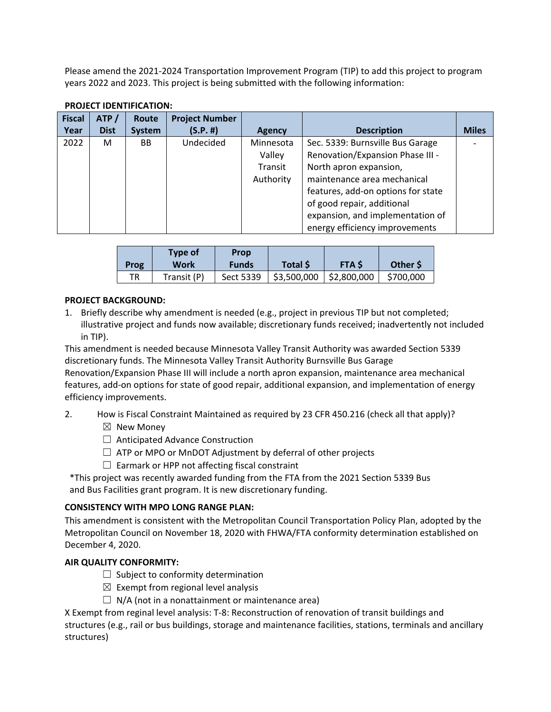Please amend the 2021-2024 Transportation Improvement Program (TIP) to add this project to program years 2022 and 2023. This project is being submitted with the following information:

| <b>Fiscal</b><br>Year | ATP/<br><b>Dist</b> | Route<br>System | <b>Project Number</b><br>(S.P. #) | <b>Agency</b>                               | <b>Description</b>                                                                                                                                                                                                                                                      | <b>Miles</b> |
|-----------------------|---------------------|-----------------|-----------------------------------|---------------------------------------------|-------------------------------------------------------------------------------------------------------------------------------------------------------------------------------------------------------------------------------------------------------------------------|--------------|
| 2022                  | м                   | BB              | Undecided                         | Minnesota<br>Valley<br>Transit<br>Authority | Sec. 5339: Burnsville Bus Garage<br>Renovation/Expansion Phase III -<br>North apron expansion,<br>maintenance area mechanical<br>features, add-on options for state<br>of good repair, additional<br>expansion, and implementation of<br>energy efficiency improvements |              |

#### **PROJECT IDENTIFICATION:**

| Prog | <b>Type of</b><br>Work | <b>Prop</b><br><b>Funds</b> | Total \$    | <b>FTAS</b> | Other \$  |
|------|------------------------|-----------------------------|-------------|-------------|-----------|
| TR   | Transit (P)            | Sect 5339                   | \$3,500,000 | \$2,800,000 | \$700,000 |

#### **PROJECT BACKGROUND:**

1. Briefly describe why amendment is needed (e.g., project in previous TIP but not completed; illustrative project and funds now available; discretionary funds received; inadvertently not included in TIP).

This amendment is needed because Minnesota Valley Transit Authority was awarded Section 5339 discretionary funds. The Minnesota Valley Transit Authority Burnsville Bus Garage Renovation/Expansion Phase III will include a north apron expansion, maintenance area mechanical features, add-on options for state of good repair, additional expansion, and implementation of energy efficiency improvements.

2. How is Fiscal Constraint Maintained as required by 23 CFR 450.216 (check all that apply)?

- $\boxtimes$  New Monev
- ☐ Anticipated Advance Construction
- $\Box$  ATP or MPO or MnDOT Adjustment by deferral of other projects
- $\Box$  Earmark or HPP not affecting fiscal constraint

\*This project was recently awarded funding from the FTA from the 2021 Section 5339 Bus and Bus Facilities grant program. It is new discretionary funding.

## **CONSISTENCY WITH MPO LONG RANGE PLAN:**

This amendment is consistent with the Metropolitan Council Transportation Policy Plan, adopted by the Metropolitan Council on November 18, 2020 with FHWA/FTA conformity determination established on December 4, 2020.

## **AIR QUALITY CONFORMITY:**

- $\Box$  Subject to conformity determination
- $\boxtimes$  Exempt from regional level analysis
- $\Box$  N/A (not in a nonattainment or maintenance area)

X Exempt from reginal level analysis: T-8: Reconstruction of renovation of transit buildings and structures (e.g., rail or bus buildings, storage and maintenance facilities, stations, terminals and ancillary structures)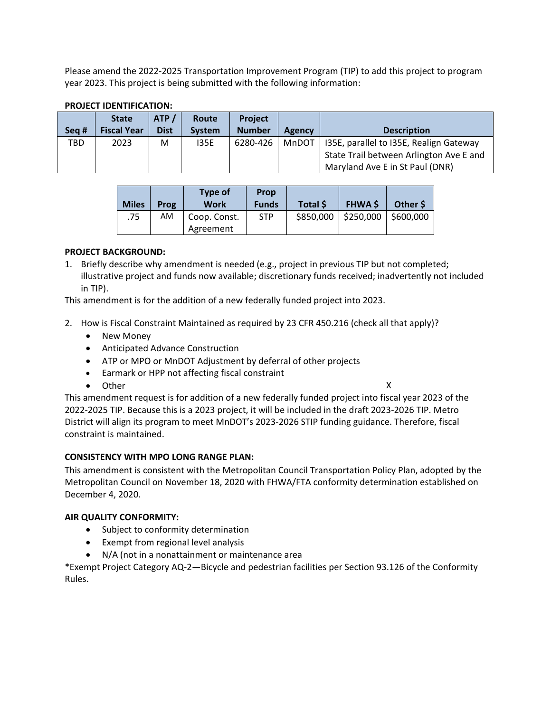Please amend the 2022-2025 Transportation Improvement Program (TIP) to add this project to program year 2023. This project is being submitted with the following information:

| Sea # | <b>State</b><br><b>Fiscal Year</b> | ATP/<br><b>Dist</b> | Route<br><b>System</b> | <b>Project</b><br><b>Number</b> | <b>Agency</b> | <b>Description</b>                      |
|-------|------------------------------------|---------------------|------------------------|---------------------------------|---------------|-----------------------------------------|
| TBD   | 2023                               | M                   | 135E                   | 6280-426                        | MnDOT         | 135E, parallel to 135E, Realign Gateway |
|       |                                    |                     |                        |                                 |               | State Trail between Arlington Ave E and |
|       |                                    |                     |                        |                                 |               | Maryland Ave E in St Paul (DNR)         |

#### **PROJECT IDENTIFICATION:**

| <b>Miles</b> | Prog | <b>Type of</b><br><b>Work</b> | Prop<br><b>Funds</b> | Total \$ | <b>FHWA \$</b>                     | Other \$ |
|--------------|------|-------------------------------|----------------------|----------|------------------------------------|----------|
| .75          | AM   | Coop. Const.                  | <b>STP</b>           |          | $$850,000$   \$250,000   \$600,000 |          |
|              |      | Agreement                     |                      |          |                                    |          |

#### **PROJECT BACKGROUND:**

1. Briefly describe why amendment is needed (e.g., project in previous TIP but not completed; illustrative project and funds now available; discretionary funds received; inadvertently not included in TIP).

This amendment is for the addition of a new federally funded project into 2023.

- 2. How is Fiscal Constraint Maintained as required by 23 CFR 450.216 (check all that apply)?
	- New Money
	- Anticipated Advance Construction
	- ATP or MPO or MnDOT Adjustment by deferral of other projects
	- Earmark or HPP not affecting fiscal constraint
	- Other X

This amendment request is for addition of a new federally funded project into fiscal year 2023 of the 2022-2025 TIP. Because this is a 2023 project, it will be included in the draft 2023-2026 TIP. Metro District will align its program to meet MnDOT's 2023-2026 STIP funding guidance. Therefore, fiscal constraint is maintained.

#### **CONSISTENCY WITH MPO LONG RANGE PLAN:**

This amendment is consistent with the Metropolitan Council Transportation Policy Plan, adopted by the Metropolitan Council on November 18, 2020 with FHWA/FTA conformity determination established on December 4, 2020.

#### **AIR QUALITY CONFORMITY:**

- Subject to conformity determination
- Exempt from regional level analysis
- N/A (not in a nonattainment or maintenance area

\*Exempt Project Category AQ-2—Bicycle and pedestrian facilities per Section 93.126 of the Conformity Rules.